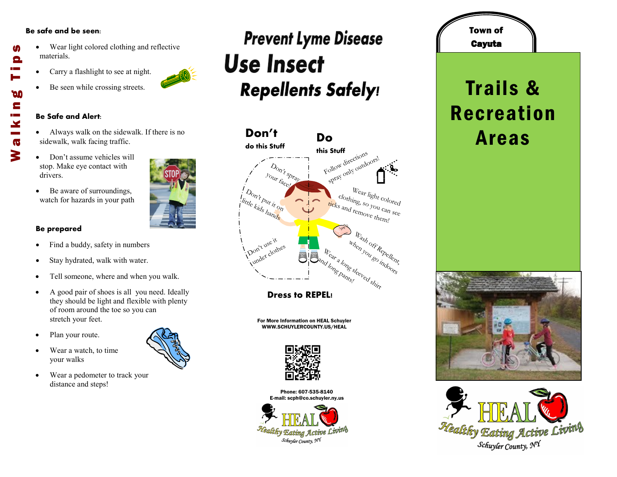### **Be safe and be seen:**

M

Θ

**DO** E

 $\mathbf{X}$  $\overline{\mathbf{G}}$ 3

- Wear light colored clothing and reflective materials. Walking Tips
	- Carry a flashlight to see at night.
	- Be seen while crossing streets.

#### **Be Safe and Alert:**

- Always walk on the sidewalk. If there is no sidewalk, walk facing traffic.
- Don't assume vehicles will stop. Make eye contact with drivers.
- Be aware of surroundings, watch for hazards in your path

## **Be prepared**

- Find a buddy, safety in numbers
- Stay hydrated, walk with water.
- Tell someone, where and when you walk.
- A good pair of shoes is all you need. Ideally they should be light and flexible with plenty of room around the toe so you can stretch your feet.
- Plan your route.
- Wear a watch, to time your walks
- Wear a pedometer to track your distance and steps!

## **Prevent Lyme Disease Use Insect Repellents Safely!**



**Dress to REPEL!**

For More Information on HEAL Schuyler WWW.SCHUYLERCOUNTY.US/HEAL



Phone: 607-535-8140 E-mail: scph@co.schuyler.ny.us



# Cayuta Trails & Recreation Areas

Town of